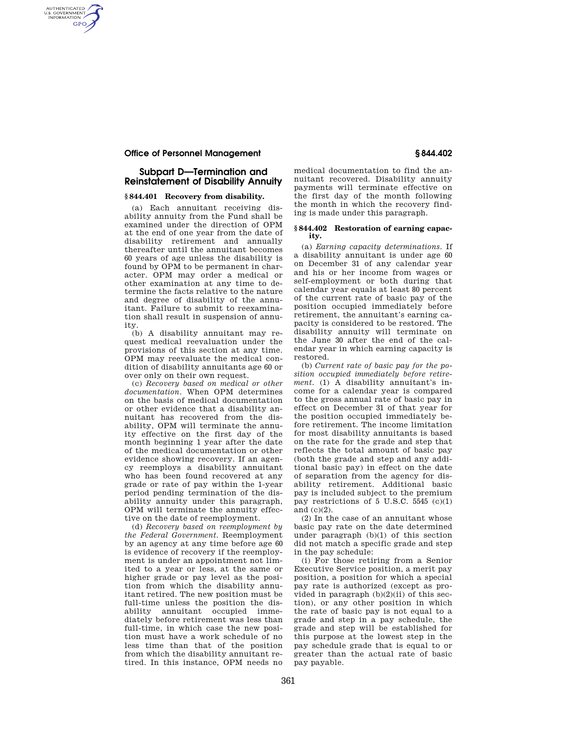## **Office of Personnel Management § 844.402**

AUTHENTICATED<br>U.S. GOVERNMENT<br>INFORMATION **GPO** 

# **Subpart D—Termination and Reinstatement of Disability Annuity**

## **§ 844.401 Recovery from disability.**

(a) Each annuitant receiving disability annuity from the Fund shall be examined under the direction of OPM at the end of one year from the date of disability retirement and annually thereafter until the annuitant becomes 60 years of age unless the disability is found by OPM to be permanent in character. OPM may order a medical or other examination at any time to determine the facts relative to the nature and degree of disability of the annuitant. Failure to submit to reexamination shall result in suspension of annuity.

(b) A disability annuitant may request medical reevaluation under the provisions of this section at any time. OPM may reevaluate the medical condition of disability annuitants age 60 or over only on their own request.

(c) *Recovery based on medical or other documentation.* When OPM determines on the basis of medical documentation or other evidence that a disability annuitant has recovered from the disability, OPM will terminate the annuity effective on the first day of the month beginning 1 year after the date of the medical documentation or other evidence showing recovery. If an agency reemploys a disability annuitant who has been found recovered at any grade or rate of pay within the 1-year period pending termination of the disability annuity under this paragraph, OPM will terminate the annuity effective on the date of reemployment.

(d) *Recovery based on reemployment by the Federal Government.* Reemployment by an agency at any time before age 60 is evidence of recovery if the reemployment is under an appointment not limited to a year or less, at the same or higher grade or pay level as the position from which the disability annuitant retired. The new position must be full-time unless the position the disability annuitant occupied immediately before retirement was less than full-time, in which case the new position must have a work schedule of no less time than that of the position from which the disability annuitant retired. In this instance, OPM needs no

medical documentation to find the annuitant recovered. Disability annuity payments will terminate effective on the first day of the month following the month in which the recovery finding is made under this paragraph.

#### **§ 844.402 Restoration of earning capacity.**

(a) *Earning capacity determinations.* If a disability annuitant is under age 60 on December 31 of any calendar year and his or her income from wages or self-employment or both during that calendar year equals at least 80 percent of the current rate of basic pay of the position occupied immediately before retirement, the annuitant's earning capacity is considered to be restored. The disability annuity will terminate on the June 30 after the end of the calendar year in which earning capacity is restored.

(b) *Current rate of basic pay for the position occupied immediately before retirement.* (1) A disability annuitant's income for a calendar year is compared to the gross annual rate of basic pay in effect on December 31 of that year for the position occupied immediately before retirement. The income limitation for most disability annuitants is based on the rate for the grade and step that reflects the total amount of basic pay (both the grade and step and any additional basic pay) in effect on the date of separation from the agency for disability retirement. Additional basic pay is included subject to the premium pay restrictions of  $5 \text{ U.S.C. } 5545 \text{ (c)}(1)$ and (c)(2).

(2) In the case of an annuitant whose basic pay rate on the date determined under paragraph (b)(1) of this section did not match a specific grade and step in the pay schedule:

(i) For those retiring from a Senior Executive Service position, a merit pay position, a position for which a special pay rate is authorized (except as provided in paragraph  $(b)(2)(ii)$  of this section), or any other position in which the rate of basic pay is not equal to a grade and step in a pay schedule, the grade and step will be established for this purpose at the lowest step in the pay schedule grade that is equal to or greater than the actual rate of basic pay payable.